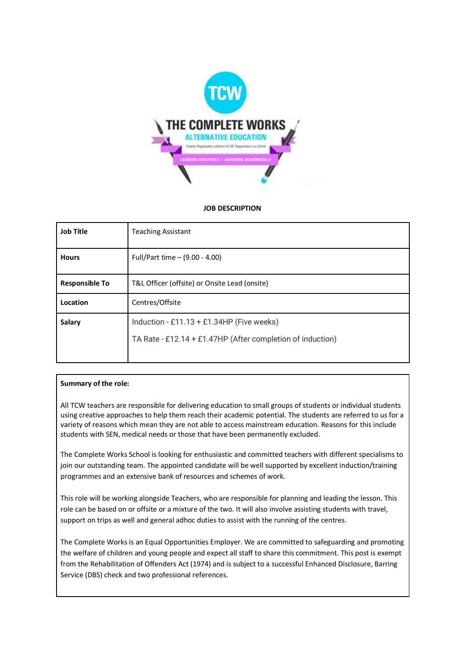

## **JOB DESCRIPTION**

| <b>Job Title</b>      | <b>Teaching Assistant</b>                                  |
|-----------------------|------------------------------------------------------------|
| <b>Hours</b>          | Full/Part time - (9.00 - 4.00)                             |
| <b>Responsible To</b> | T&L Officer (offsite) or Onsite Lead (onsite)              |
| Location              | Centres/Offsite                                            |
| Salary                | Induction - £11.13 + £1.34HP (Five weeks)                  |
|                       | TA Rate - £12.14 + £1.47HP (After completion of induction) |
|                       |                                                            |

# **Summary of the role:**

All TCW teachers are responsible for delivering education to small groups of students or individual students using creative approaches to help them reach their academic potential. The students are referred to us for a variety of reasons which mean they are not able to access mainstream education. Reasons for this include students with SEN, medical needs or those that have been permanently excluded.

The Complete Works School is looking for enthusiastic and committed teachers with different specialisms to join our outstanding team. The appointed candidate will be well supported by excellent induction/training programmes and an extensive bank of resources and schemes of work.

This role will be working alongside Teachers, who are responsible for planning and leading the lesson. This role can be based on or offsite or a mixture of the two. It will also involve assisting students with travel, support on trips as well and general adhoc duties to assist with the running of the centres.

The Complete Works is an Equal Opportunities Employer. We are committed to safeguarding and promoting the welfare of children and young people and expect all staff to share this commitment. This post is exempt from the Rehabilitation of Offenders Act (1974) and is subject to a successful Enhanced Disclosure, Barring Service (DBS) check and two professional references.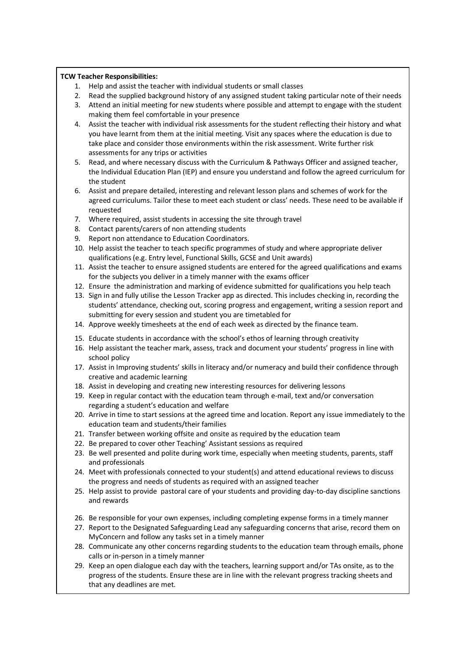## **TCW Teacher Responsibilities:**

- 1. Help and assist the teacher with individual students or small classes
- 2. Read the supplied background history of any assigned student taking particular note of their needs
- 3. Attend an initial meeting for new students where possible and attempt to engage with the student making them feel comfortable in your presence
- 4. Assist the teacher with individual risk assessments for the student reflecting their history and what you have learnt from them at the initial meeting. Visit any spaces where the education is due to take place and consider those environments within the risk assessment. Write further risk assessments for any trips or activities
- 5. Read, and where necessary discuss with the Curriculum & Pathways Officer and assigned teacher, the Individual Education Plan (IEP) and ensure you understand and follow the agreed curriculum for the student
- 6. Assist and prepare detailed, interesting and relevant lesson plans and schemes of work for the agreed curriculums. Tailor these to meet each student or class' needs. These need to be available if requested
- 7. Where required, assist students in accessing the site through travel
- 8. Contact parents/carers of non attending students
- 9. Report non attendance to Education Coordinators.
- 10. Help assist the teacher to teach specific programmes of study and where appropriate deliver qualifications (e.g. Entry level, Functional Skills, GCSE and Unit awards)
- 11. Assist the teacher to ensure assigned students are entered for the agreed qualifications and exams for the subjects you deliver in a timely manner with the exams officer
- 12. Ensure the administration and marking of evidence submitted for qualifications you help teach
- 13. Sign in and fully utilise the Lesson Tracker app as directed. This includes checking in, recording the students' attendance, checking out, scoring progress and engagement, writing a session report and submitting for every session and student you are timetabled for
- 14. Approve weekly timesheets at the end of each week as directed by the finance team.
- 15. Educate students in accordance with the school's ethos of learning through creativity
- 16. Help assistant the teacher mark, assess, track and document your students' progress in line with school policy
- 17. Assist in Improving students' skills in literacy and/or numeracy and build their confidence through creative and academic learning
- 18. Assist in developing and creating new interesting resources for delivering lessons
- 19. Keep in regular contact with the education team through e-mail, text and/or conversation regarding a student's education and welfare
- 20. Arrive in time to start sessions at the agreed time and location. Report any issue immediately to the education team and students/their families
- 21. Transfer between working offsite and onsite as required by the education team
- 22. Be prepared to cover other Teaching' Assistant sessions as required
- 23. Be well presented and polite during work time, especially when meeting students, parents, staff and professionals
- 24. Meet with professionals connected to your student(s) and attend educational reviews to discuss the progress and needs of students as required with an assigned teacher
- 25. Help assist to provide pastoral care of your students and providing day-to-day discipline sanctions and rewards
- 26. Be responsible for your own expenses, including completing expense forms in a timely manner
- 27. Report to the Designated Safeguarding Lead any safeguarding concerns that arise, record them on MyConcern and follow any tasks set in a timely manner
- 28. Communicate any other concerns regarding students to the education team through emails, phone calls or in-person in a timely manner
- 29. Keep an open dialogue each day with the teachers, learning support and/or TAs onsite, as to the progress of the students. Ensure these are in line with the relevant progress tracking sheets and that any deadlines are met.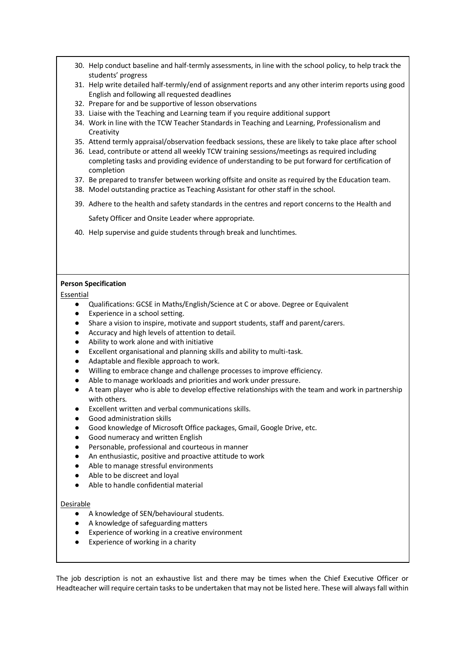- 30. Help conduct baseline and half-termly assessments, in line with the school policy, to help track the students' progress
- 31. Help write detailed half-termly/end of assignment reports and any other interim reports using good English and following all requested deadlines
- 32. Prepare for and be supportive of lesson observations
- 33. Liaise with the Teaching and Learning team if you require additional support
- 34. Work in line with the TCW Teacher Standards in Teaching and Learning, Professionalism and **Creativity**
- 35. Attend termly appraisal/observation feedback sessions, these are likely to take place after school
- 36. Lead, contribute or attend all weekly TCW training sessions/meetings as required including completing tasks and providing evidence of understanding to be put forward for certification of completion
- 37. Be prepared to transfer between working offsite and onsite as required by the Education team.
- 38. Model outstanding practice as Teaching Assistant for other staff in the school.
- 39. Adhere to the health and safety standards in the centres and report concerns to the Health and

Safety Officer and Onsite Leader where appropriate.

40. Help supervise and guide students through break and lunchtimes.

## **Person Specification**

Essential

- Qualifications: GCSE in Maths/English/Science at C or above. Degree or Equivalent
- Experience in a school setting.
- Share a vision to inspire, motivate and support students, staff and parent/carers.
- Accuracy and high levels of attention to detail.
- Ability to work alone and with initiative
- Excellent organisational and planning skills and ability to multi-task.
- Adaptable and flexible approach to work.
- Willing to embrace change and challenge processes to improve efficiency.
- Able to manage workloads and priorities and work under pressure.
- A team player who is able to develop effective relationships with the team and work in partnership with others.
- **Excellent written and verbal communications skills.**
- Good administration skills
- Good knowledge of Microsoft Office packages, Gmail, Google Drive, etc.
- Good numeracy and written English
- Personable, professional and courteous in manner
- An enthusiastic, positive and proactive attitude to work
- Able to manage stressful environments
- Able to be discreet and loyal
- Able to handle confidential material

#### Desirable

- A knowledge of SEN/behavioural students.
- A knowledge of safeguarding matters
- Experience of working in a creative environment
- Experience of working in a charity

The job description is not an exhaustive list and there may be times when the Chief Executive Officer or Headteacher will require certain tasks to be undertaken that may not be listed here. These will always fall within